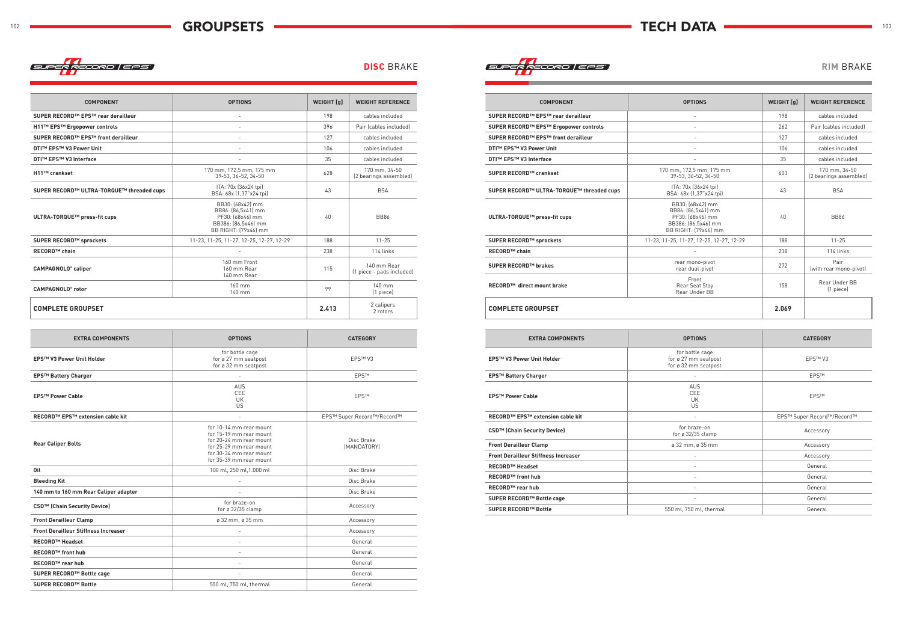

| <b>DISC BRAKE</b> | SUPER RECORD   EPS | <b>RIM BRAKE</b> |
|-------------------|--------------------|------------------|
|-------------------|--------------------|------------------|

| <b>COMPONENT</b>                          | <b>OPTIONS</b>                                                                                            | WEIGHT [g] | <b>WEIGHT REFERENCE</b>                  |
|-------------------------------------------|-----------------------------------------------------------------------------------------------------------|------------|------------------------------------------|
| SUPER RECORD™ EPS™ rear derailleur        |                                                                                                           | 198        | cables included                          |
| H11™ EPS™ Ergopower controls              |                                                                                                           | 396        | Pair (cables included)                   |
| SUPER RECORD™ EPS™ front derailleur       |                                                                                                           | 127        | cables included                          |
| DTI™ EPS™ V3 Power Unit                   | $\overline{\phantom{a}}$                                                                                  | 106        | cables included                          |
| <b>DTI™ EPS™ V3 Interface</b>             | $\overline{\phantom{a}}$                                                                                  | 35         | cables included                          |
| H11™ crankset                             | 170 mm, 172,5 mm, 175 mm<br>39-53. 36-52. 34-50                                                           | 628        | 170 mm, 34-50<br>(2 bearings assembled)  |
| SUPER RECORD™ ULTRA-TORQUE™ threaded cups | ITA: 70x (36x24 tpi)<br>BSA: 68x [1,37" x24 tpi]                                                          | 43         | <b>BSA</b>                               |
| ULTRA-TORQUE™ press-fit cups              | BB30: (68x42) mm<br>BB86: [86,5x41] mm<br>PF30: (68x46) mm<br>BB386: [86,5x46] mm<br>BB RIGHT: (79x46) mm | 40         | <b>BB86</b>                              |
| SUPER RECORD™ sprockets                   | 11-23, 11-25, 11-27, 12-25, 12-27, 12-29                                                                  | 188        | $11 - 25$                                |
| <b>RECORD™ chain</b>                      |                                                                                                           | 238        | 114 links                                |
| <b>CAMPAGNOLO®</b> caliper                | 160 mm Front<br>160 mm Rear<br>140 mm Rear                                                                | 115        | 140 mm Rear<br>(1 piece - pads included) |
| <b>CAMPAGNOLO®</b> rotor                  | 160 mm<br>140 mm                                                                                          | 99         | 140 mm<br>(1 piece)                      |
| <b>COMPLETE GROUPSET</b>                  |                                                                                                           | 2.413      | 2 calipers<br>2 rotors                   |
|                                           |                                                                                                           |            |                                          |

| <b>EXTRA COMPONENTS</b>                     | <b>OPTIONS</b>                                                                                                                                                 | <b>CATEGORY</b>            |
|---------------------------------------------|----------------------------------------------------------------------------------------------------------------------------------------------------------------|----------------------------|
| <b>EPS™ V3 Power Unit Holder</b>            | for bottle cage<br>for ø 27 mm seatpost<br>for ø 32 mm seatpost                                                                                                | <b>EPS™V3</b>              |
| <b>EPS™ Battery Charger</b>                 |                                                                                                                                                                | <b>EPSTM</b>               |
| <b>EPS™ Power Cable</b>                     | <b>AUS</b><br>CEE<br><b>UK</b><br>US                                                                                                                           | <b>EPSTM</b>               |
| RECORD™ EPS™ extension cable kit            | $\overline{\phantom{a}}$                                                                                                                                       | EPS™ Super Record™/Record™ |
| <b>Rear Caliper Bolts</b>                   | for 10-14 mm rear mount<br>for 15-19 mm rear mount<br>for 20-24 mm rear mount<br>for 25-29 mm rear mount<br>for 30-34 mm rear mount<br>for 35-39 mm rear mount | Disc Brake<br>(MANDATORY)  |
| Oil                                         | 100 ml, 250 ml, 1.000 ml                                                                                                                                       | Disc Brake                 |
| <b>Bleeding Kit</b>                         |                                                                                                                                                                | Disc Brake                 |
| 140 mm to 160 mm Rear Caliper adapter       |                                                                                                                                                                | Disc Brake                 |
| CSD <sup>™</sup> (Chain Security Device)    | for braze-on<br>for ø 32/35 clamp                                                                                                                              | Accessory                  |
| <b>Front Derailleur Clamp</b>               | ø 32 mm, ø 35 mm                                                                                                                                               | Accessory                  |
| <b>Front Derailleur Stiffness Increaser</b> |                                                                                                                                                                | Accessory                  |
| <b>RECORD™ Headset</b>                      |                                                                                                                                                                | General                    |
| <b>RECORD™ front hub</b>                    |                                                                                                                                                                | General                    |
| <b>RECORD™</b> rear hub                     |                                                                                                                                                                | General                    |
| SUPER RECORD™ Bottle cage                   |                                                                                                                                                                | General                    |
| <b>SUPER RECORD™ Bottle</b>                 | 550 ml, 750 ml, thermal                                                                                                                                        | General                    |

| <b>COMPONENT</b>                          | <b>OPTIONS</b>                                                                                            | <b>WEIGHT</b> [q] | <b>WEIGHT REFERENCE</b>                 |
|-------------------------------------------|-----------------------------------------------------------------------------------------------------------|-------------------|-----------------------------------------|
| SUPER RECORD™ EPS™ rear derailleur        | $\overline{a}$                                                                                            | 198               | cables included                         |
| SUPER RECORD™ EPS™ Ergopower controls     |                                                                                                           | 262               | Pair (cables included)                  |
| SUPER RECORD™ EPS™ front derailleur       |                                                                                                           | 127               | cables included                         |
| <b>DTI™ EPS™ V3 Power Unit</b>            |                                                                                                           | 106               | cables included                         |
| DTI™ EPS™ V3 Interface                    |                                                                                                           | 35                | cables included                         |
| SUPER RECORD™ crankset                    | 170 mm, 172,5 mm, 175 mm<br>39-53, 36-52, 34-50                                                           | 603               | 170 mm, 34-50<br>(2 bearings assembled) |
| SUPER RECORD™ ULTRA-TORQUE™ threaded cups | ITA: 70x (36x24 tpi)<br>BSA: 68x (1,37" x24 tpi)                                                          | 43                | <b>BSA</b>                              |
| ULTRA-TORQUE™ press-fit cups              | BB30: (68x42) mm<br>BB86: [86,5x41] mm<br>PF30: (68x46) mm<br>BB386: [86,5x46] mm<br>BB RIGHT: (79x46) mm | 40                | <b>BB86</b>                             |
| SUPER RECORD™ sprockets                   | 11-23, 11-25, 11-27, 12-25, 12-27, 12-29                                                                  | 188               | $11 - 25$                               |
| <b>RECORD™ chain</b>                      |                                                                                                           | 238               | 114 links                               |
| SUPER RECORD™ brakes                      | rear mono-pivot<br>rear dual-pivot                                                                        | 272               | Pair<br>(with rear mono-pivot)          |
| RECORD™ direct mount brake                | Front<br>Rear Seat Stay<br>Rear Under BB                                                                  | 158               | Rear Under BB<br>(1 piece)              |
| <b>COMPLETE GROUPSET</b>                  |                                                                                                           | 2.069             |                                         |

| <b>EXTRA COMPONENTS</b>                     | <b>OPTIONS</b>                                                  | <b>CATEGORY</b>            |
|---------------------------------------------|-----------------------------------------------------------------|----------------------------|
| EPS™ V3 Power Unit Holder                   | for bottle cage<br>for ø 27 mm seatpost<br>for ø 32 mm seatpost | <b>EPS™V3</b>              |
| <b>EPS™ Battery Charger</b>                 | $\overline{\phantom{a}}$                                        | <b>EPSTM</b>               |
| <b>EPS™ Power Cable</b>                     | AUS<br>CEE<br>UK<br><b>US</b>                                   | <b>EPSTM</b>               |
| <b>RECORD™ EPS™ extension cable kit</b>     |                                                                 | EPS™ Super Record™/Record™ |
| CSD™ (Chain Security Device)                | for braze-on<br>for $\varnothing$ 32/35 clamp                   | Accessory                  |
| <b>Front Derailleur Clamp</b>               | ø 32 mm, ø 35 mm                                                | Accessory                  |
| <b>Front Derailleur Stiffness Increaser</b> | ۰                                                               | Accessory                  |
| <b>RECORD™ Headset</b>                      | ۰                                                               | General                    |
| <b>RECORD™ front hub</b>                    |                                                                 | General                    |
| <b>RECORD™ rear hub</b>                     | $\qquad \qquad -$                                               | General                    |
| SUPER RECORD™ Bottle cage                   | ٠                                                               | General                    |
| SUPER RECORD™ Bottle                        | 550 ml, 750 ml, thermal                                         | General                    |
|                                             |                                                                 |                            |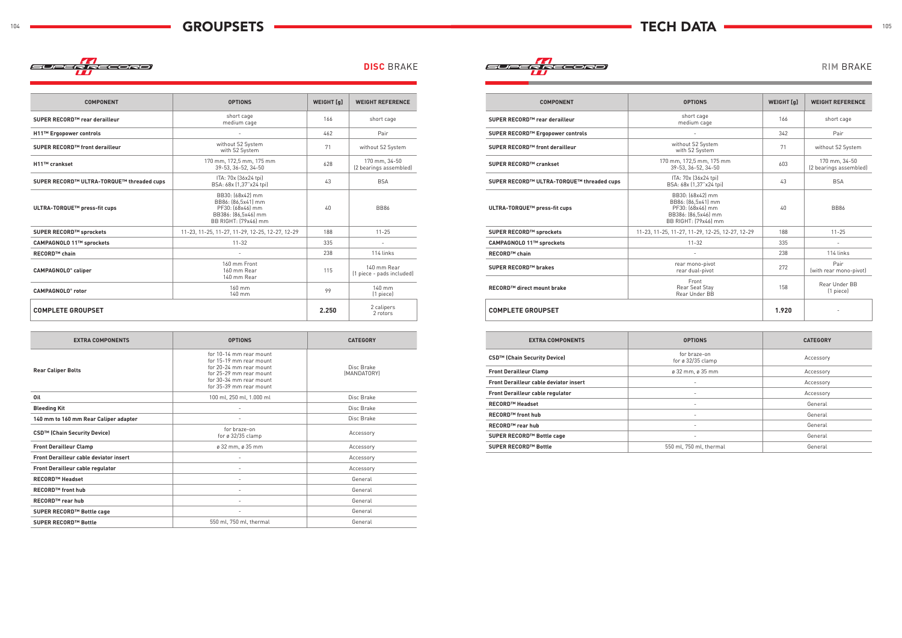

**COMPONENT OPTIONS WEIGHT [g] WEIGHT REFERENCE**



|  | <b>DISC BRAKE</b> |  |  |  |  |
|--|-------------------|--|--|--|--|
|--|-------------------|--|--|--|--|

| SUPER RECORD™ rear derailleur             | short cage<br>medium cage                                                                                 | 166   | short cage                               |
|-------------------------------------------|-----------------------------------------------------------------------------------------------------------|-------|------------------------------------------|
| H11™ Ergopower controls                   |                                                                                                           | 462   | Pair                                     |
| SUPER RECORD™ front derailleur            | without S2 System<br>with S2 System                                                                       | 71    | without S2 System                        |
| H11™ crankset                             | 170 mm, 172,5 mm, 175 mm<br>39-53. 36-52. 34-50                                                           | 628   | 170 mm, 34-50<br>(2 bearings assembled)  |
| SUPER RECORD™ ULTRA-TORQUE™ threaded cups | ITA: 70x (36x24 tpi)<br>BSA: 68x (1,37"x24 tpi)                                                           | 43    | <b>BSA</b>                               |
| ULTRA-TORQUE™ press-fit cups              | BB30: (68x42) mm<br>BB86: [86,5x41] mm<br>PF30: (68x46) mm<br>BB386: (86,5x46) mm<br>BB RIGHT: (79x46) mm | 40    | <b>BB86</b>                              |
| SUPER RECORD™ sprockets                   | 11-23, 11-25, 11-27, 11-29, 12-25, 12-27, 12-29                                                           | 188   | $11 - 25$                                |
| CAMPAGNOLO 11™ sprockets                  | $11 - 32$                                                                                                 | 335   |                                          |
| <b>RECORD™ chain</b>                      |                                                                                                           | 238   | 114 links                                |
| CAMPAGNOLO <sup>®</sup> caliper           | 160 mm Front<br>160 mm Rear<br>140 mm Rear                                                                | 115   | 140 mm Rear<br>(1 piece - pads included) |
| <b>CAMPAGNOLO®</b> rotor                  | 160 mm<br>140 mm                                                                                          | 99    | 140 mm<br>(1 piece)                      |
| <b>COMPLETE GROUPSET</b>                  |                                                                                                           | 2.250 | 2 calipers<br>2 rotors                   |

| <b>EXTRA COMPONENTS</b>                       | <b>OPTIONS</b>                                                                                                                                                 | <b>CATEGORY</b>           |
|-----------------------------------------------|----------------------------------------------------------------------------------------------------------------------------------------------------------------|---------------------------|
| <b>Rear Caliper Bolts</b>                     | for 10-14 mm rear mount<br>for 15-19 mm rear mount<br>for 20-24 mm rear mount<br>for 25-29 mm rear mount<br>for 30-34 mm rear mount<br>for 35-39 mm rear mount | Disc Brake<br>(MANDATORY) |
| Oil                                           | 100 ml, 250 ml, 1.000 ml                                                                                                                                       | Disc Brake                |
| <b>Bleeding Kit</b>                           |                                                                                                                                                                | Disc Brake                |
| 140 mm to 160 mm Rear Caliper adapter         |                                                                                                                                                                | Disc Brake                |
| CSD <sup>™</sup> (Chain Security Device)      | for braze-on<br>for ø $32/35$ clamp                                                                                                                            | Accessory                 |
| <b>Front Derailleur Clamp</b>                 | ø 32 mm, ø 35 mm                                                                                                                                               | Accessory                 |
| <b>Front Derailleur cable deviator insert</b> |                                                                                                                                                                | Accessory                 |
| <b>Front Derailleur cable regulator</b>       | ٠                                                                                                                                                              | Accessory                 |
| <b>RECORD™ Headset</b>                        | $\overline{a}$                                                                                                                                                 | General                   |
| <b>RECORD™</b> front hub                      | $\overline{\phantom{0}}$                                                                                                                                       | General                   |
| <b>RECORD™ rear hub</b>                       | ٠                                                                                                                                                              | General                   |
| SUPER RECORD™ Bottle cage                     | ٠                                                                                                                                                              | General                   |
| <b>SUPER RECORD™ Bottle</b>                   | 550 ml, 750 ml, thermal                                                                                                                                        | General                   |

| <b>COMPONENT</b>                          | <b>OPTIONS</b>                                                                                            | <b>WEIGHT</b> [q] | <b>WEIGHT REFERENCE</b>                 |
|-------------------------------------------|-----------------------------------------------------------------------------------------------------------|-------------------|-----------------------------------------|
| SUPER RECORD™ rear derailleur             | short cage<br>medium cage                                                                                 | 166               | short cage                              |
| SUPER RECORD™ Ergopower controls          |                                                                                                           | 342               | Pair                                    |
| SUPER RECORD™ front derailleur            | without S2 System<br>with S2 System                                                                       | 71                | without S2 System                       |
| SUPER RECORD™ crankset                    | 170 mm, 172,5 mm, 175 mm<br>39-53, 36-52, 34-50                                                           | 603               | 170 mm, 34-50<br>(2 bearings assembled) |
| SUPER RECORD™ ULTRA-TORQUE™ threaded cups | ITA: 70x (36x24 tpi)<br>BSA: 68x (1,37"x24 tpi)                                                           | 43                | <b>BSA</b>                              |
| ULTRA-TORQUE™ press-fit cups              | BB30: (68x42) mm<br>BB86: [86,5x41] mm<br>PF30: (68x46) mm<br>BB386: [86,5x46] mm<br>BB RIGHT: (79x46) mm | 40                | <b>BB86</b>                             |
| SUPER RECORD™ sprockets                   | 11-23, 11-25, 11-27, 11-29, 12-25, 12-27, 12-29                                                           | 188               | $11 - 25$                               |
| CAMPAGNOLO 11™ sprockets                  | $11 - 32$                                                                                                 | 335               | $\overline{a}$                          |
| <b>RECORD™ chain</b>                      | $\overline{\phantom{0}}$                                                                                  | 238               | 114 links                               |
| SUPER RECORD™ brakes                      | rear mono-pivot<br>rear dual-pivot                                                                        | 272               | Pair<br>(with rear mono-pivot)          |
| RECORD™ direct mount brake                | Front<br>Rear Seat Stay<br>Rear Under BB                                                                  | 158               | Rear Under BB<br>(1 piece)              |
| <b>COMPLETE GROUPSET</b>                  |                                                                                                           | 1.920             |                                         |

| <b>EXTRA COMPONENTS</b>                       | <b>OPTIONS</b>                           | <b>CATEGORY</b> |
|-----------------------------------------------|------------------------------------------|-----------------|
| CSD™ (Chain Security Device)                  | for braze-on<br>for ø 32/35 clamp        | Accessory       |
| <b>Front Derailleur Clamp</b>                 | $\varnothing$ 32 mm, $\varnothing$ 35 mm | Accessory       |
| <b>Front Derailleur cable deviator insert</b> | $\overline{\phantom{a}}$                 | Accessory       |
| Front Derailleur cable regulator              |                                          | Accessory       |
| <b>RECORD™ Headset</b>                        | $\overline{\phantom{a}}$                 | General         |
| <b>RECORD™ front hub</b>                      | $\overline{\phantom{a}}$                 | General         |
| <b>RECORD™ rear hub</b>                       | $\overline{\phantom{a}}$                 | General         |
| SUPER RECORD™ Bottle cage                     | $\overline{\phantom{a}}$                 | General         |
| SUPER RECORD™ Bottle                          | 550 ml, 750 ml, thermal                  | General         |
|                                               |                                          |                 |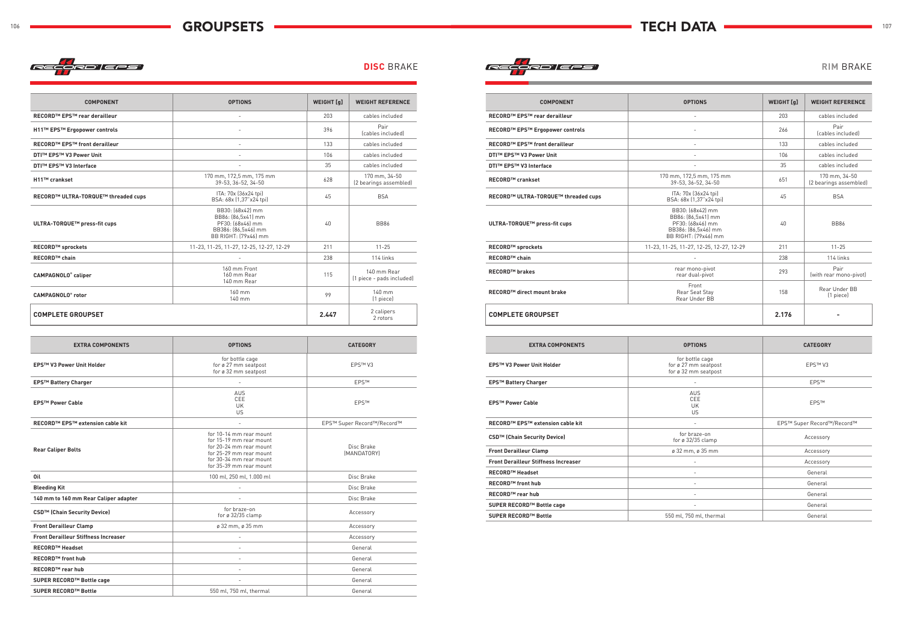



| <b>COMPONENT</b>                     | <b>OPTIONS</b>                                                                                            | <b>WEIGHT</b> [q] | <b>WEIGHT REFERENCE</b>                  |
|--------------------------------------|-----------------------------------------------------------------------------------------------------------|-------------------|------------------------------------------|
| RECORD™ EPS™ rear derailleur         | $\qquad \qquad -$                                                                                         | 203               | cables included                          |
| H11™ EPS™ Ergopower controls         |                                                                                                           | 396               | Pair<br>(cables included)                |
| <b>RECORD™ EPS™ front derailleur</b> |                                                                                                           | 133               | cables included                          |
| <b>DTI™ EPS™ V3 Power Unit</b>       |                                                                                                           | 106               | cables included                          |
| <b>DTI™ EPS™ V3 Interface</b>        |                                                                                                           | 35                | cables included                          |
| H11™ crankset                        | 170 mm, 172,5 mm, 175 mm<br>39-53. 36-52. 34-50                                                           | 628               | 170 mm, 34-50<br>(2 bearings assembled)  |
| RECORD™ ULTRA-TORQUE™ threaded cups  | ITA: 70x (36x24 tpi)<br>BSA: 68x (1,37"x24 tpi)                                                           | 45                | <b>BSA</b>                               |
| ULTRA-TORQUE™ press-fit cups         | BB30: (68x42) mm<br>BB86: (86,5x41) mm<br>PF30: (68x46) mm<br>BB386: (86,5x46) mm<br>BB RIGHT: (79x46) mm | 40                | <b>BB86</b>                              |
| <b>RECORD™ sprockets</b>             | 11-23, 11-25, 11-27, 12-25, 12-27, 12-29                                                                  | 211               | $11 - 25$                                |
| <b>RECORD™ chain</b>                 |                                                                                                           | 238               | 114 links                                |
| <b>CAMPAGNOLO®</b> caliper           | 160 mm Front<br>160 mm Rear<br>140 mm Rear                                                                | 115               | 140 mm Rear<br>(1 piece - pads included) |
| <b>CAMPAGNOLO®</b> rotor             | 160 mm<br>140 mm                                                                                          | 99                | 140 mm<br>(1 piece)                      |
| <b>COMPLETE GROUPSET</b>             |                                                                                                           | 2.447             | 2 calipers<br>2 rotors                   |

| <b>EXTRA COMPONENTS</b>                     | <b>OPTIONS</b>                                                                                                                                                 | <b>CATEGORY</b>            |
|---------------------------------------------|----------------------------------------------------------------------------------------------------------------------------------------------------------------|----------------------------|
| <b>EPS™ V3 Power Unit Holder</b>            | for bottle cage<br>for ø 27 mm seatpost<br>for ø 32 mm seatpost                                                                                                | EPSTM V3                   |
| <b>EPS™ Battery Charger</b>                 |                                                                                                                                                                | <b>EPSTM</b>               |
| <b>EPS™ Power Cable</b>                     | <b>AUS</b><br>CEE<br><b>UK</b><br>US                                                                                                                           | <b>EPSTM</b>               |
| <b>RECORD™ EPS™ extension cable kit</b>     | $\sim$                                                                                                                                                         | EPS™ Super Record™/Record™ |
| <b>Rear Caliper Bolts</b>                   | for 10-14 mm rear mount<br>for 15-19 mm rear mount<br>for 20-24 mm rear mount<br>for 25-29 mm rear mount<br>for 30-34 mm rear mount<br>for 35-39 mm rear mount | Disc Brake<br>(MANDATORY)  |
| Oil                                         | 100 ml, 250 ml, 1.000 ml                                                                                                                                       | Disc Brake                 |
| <b>Bleeding Kit</b>                         |                                                                                                                                                                | Disc Brake                 |
| 140 mm to 160 mm Rear Caliper adapter       |                                                                                                                                                                | Disc Brake                 |
| CSD™ (Chain Security Device)                | for braze-on<br>for ø 32/35 clamp                                                                                                                              | Accessory                  |
| <b>Front Derailleur Clamp</b>               | ø 32 mm, ø 35 mm                                                                                                                                               | Accessory                  |
| <b>Front Derailleur Stiffness Increaser</b> |                                                                                                                                                                | Accessory                  |
| <b>RECORD™ Headset</b>                      |                                                                                                                                                                | General                    |
| <b>RECORD™ front hub</b>                    |                                                                                                                                                                | General                    |
| <b>RECORD™</b> rear hub                     |                                                                                                                                                                | General                    |
| SUPER RECORD™ Bottle cage                   | ٠                                                                                                                                                              | General                    |
| <b>SUPER RECORD™ Bottle</b>                 | 550 ml, 750 ml, thermal                                                                                                                                        | General                    |

| <b>COMPONENT</b>                     | <b>OPTIONS</b>                                                                                            | <b>WEIGHT</b> [q] | <b>WEIGHT REFERENCE</b>                 |
|--------------------------------------|-----------------------------------------------------------------------------------------------------------|-------------------|-----------------------------------------|
| RECORD™ EPS™ rear derailleur         | $\overline{\phantom{a}}$                                                                                  | 203               | cables included                         |
| RECORD™ EPS™ Ergopower controls      |                                                                                                           | 266               | Pair<br>(cables included)               |
| <b>RECORD™ EPS™ front derailleur</b> |                                                                                                           | 133               | cables included                         |
| <b>DTI™ EPS™ V3 Power Unit</b>       | $\overline{a}$                                                                                            | 106               | cables included                         |
| <b>DTI™ EPS™ V3 Interface</b>        |                                                                                                           | 35                | cables included                         |
| <b>RECORD™ crankset</b>              | 170 mm, 172,5 mm, 175 mm<br>39-53, 36-52, 34-50                                                           | 651               | 170 mm, 34-50<br>(2 bearings assembled) |
| RECORD™ ULTRA-TORQUE™ threaded cups  | ITA: 70x (36x24 tpi)<br>BSA: 68x (1,37"x24 tpi)                                                           | 45                | <b>BSA</b>                              |
| ULTRA-TORQUE™ press-fit cups         | BB30: (68x42) mm<br>BB86: [86,5x41] mm<br>PF30: (68x46) mm<br>BB386: [86,5x46] mm<br>BB RIGHT: [79x46] mm | 40                | <b>BB86</b>                             |
| <b>RECORD™ sprockets</b>             | 11-23, 11-25, 11-27, 12-25, 12-27, 12-29                                                                  | 211               | $11 - 25$                               |
| <b>RECORD™ chain</b>                 |                                                                                                           | 238               | 114 links                               |
| <b>RECORD™ brakes</b>                | rear mono-pivot<br>rear dual-pivot                                                                        | 293               | Pair<br>(with rear mono-pivot)          |
| RECORD™ direct mount brake           | Front<br>Rear Seat Stay<br>Rear Under BB                                                                  | 158               | Rear Under BB<br>(1 piece)              |
| <b>COMPLETE GROUPSET</b>             |                                                                                                           | 2.176             |                                         |

| <b>EXTRA COMPONENTS</b>                     | <b>OPTIONS</b>                                                  | <b>CATEGORY</b>            |
|---------------------------------------------|-----------------------------------------------------------------|----------------------------|
| EPS™ V3 Power Unit Holder                   | for bottle cage<br>for ø 27 mm seatpost<br>for ø 32 mm seatpost | <b>EPS™V3</b>              |
| <b>EPS™ Battery Charger</b>                 | $\overline{\phantom{a}}$                                        | <b>EPSTM</b>               |
| <b>EPS™ Power Cable</b>                     | <b>AUS</b><br>CEE<br>UK<br>US                                   | <b>EPSTM</b>               |
| <b>RECORD™ EPS™ extension cable kit</b>     |                                                                 | EPS™ Super Record™/Record™ |
| CSD™ (Chain Security Device)                | for braze-on<br>for ø $32/35$ clamp                             | Accessory                  |
| <b>Front Derailleur Clamp</b>               | ø 32 mm, ø 35 mm                                                | Accessory                  |
| <b>Front Derailleur Stiffness Increaser</b> |                                                                 | Accessory                  |
| <b>RECORD™ Headset</b>                      |                                                                 | General                    |
| <b>RECORD™ front hub</b>                    |                                                                 | General                    |
| <b>RECORD™ rear hub</b>                     | $\overline{\phantom{a}}$                                        | General                    |
| SUPER RECORD™ Bottle cage                   | $\overline{\phantom{a}}$                                        | General                    |
| SUPER RECORD™ Bottle                        | 550 ml, 750 ml, thermal                                         | General                    |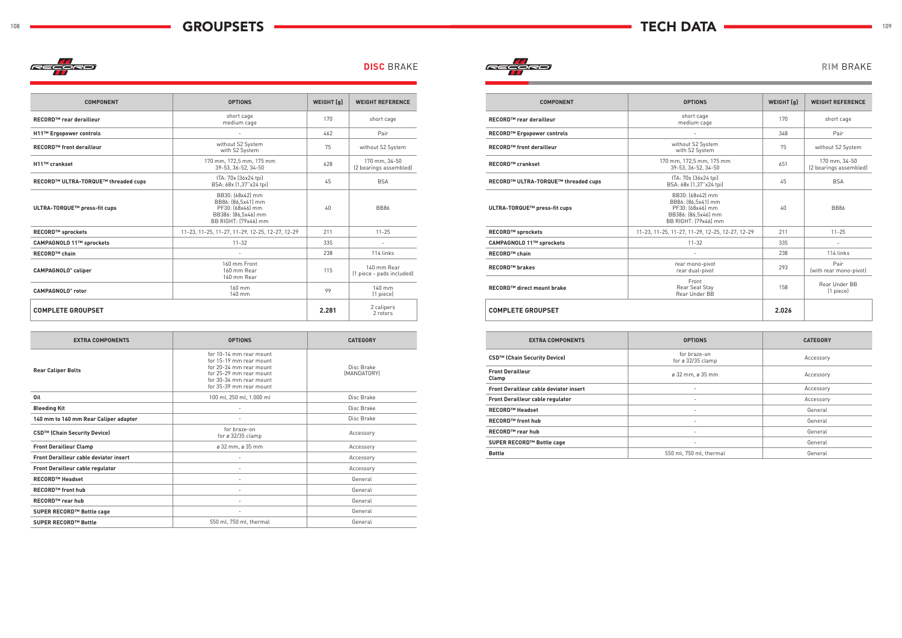

|  | <b>DISC BRAKE</b> |  |  |  |  |
|--|-------------------|--|--|--|--|
|--|-------------------|--|--|--|--|



| <b>COMPONENT</b>                      | <b>OPTIONS</b>                                                                                            | WEIGHT [g] | <b>WEIGHT REFERENCE</b>                  |
|---------------------------------------|-----------------------------------------------------------------------------------------------------------|------------|------------------------------------------|
| RECORD™ rear derailleur               | short cage<br>medium cage                                                                                 | 170        | short cage                               |
| H11™ Ergopower controls               |                                                                                                           | 462        | Pair                                     |
| <b>RECORD™ front derailleur</b>       | without S2 System<br>with S2 System                                                                       | 75         | without S2 System                        |
| H11™ crankset                         | 170 mm, 172,5 mm, 175 mm<br>39-53. 36-52. 34-50                                                           | 628        | 170 mm, 34-50<br>(2 bearings assembled)  |
| RECORD™ ULTRA-TORQUE™ threaded cups   | ITA: 70x (36x24 tpi)<br>BSA: 68x [1,37"x24 tpi]                                                           | 45         | <b>BSA</b>                               |
| ULTRA-TORQUE™ press-fit cups          | BB30: (68x42) mm<br>BB86: [86,5x41] mm<br>PF30: [68x46] mm<br>BB386: [86,5x46] mm<br>BB RIGHT: (79x46) mm | 40         | <b>BB86</b>                              |
| <b>RECORD™ sprockets</b>              | 11-23, 11-25, 11-27, 11-29, 12-25, 12-27, 12-29                                                           | 211        | $11 - 25$                                |
| CAMPAGNOLO 11™ sprockets              | $11 - 32$                                                                                                 | 335        |                                          |
| <b>RECORD™ chain</b>                  |                                                                                                           | 238        | 114 links                                |
| <b>CAMPAGNOLO<sup>®</sup></b> caliper | 160 mm Front<br>160 mm Rear<br>140 mm Rear                                                                | 115        | 140 mm Rear<br>(1 piece - pads included) |
| <b>CAMPAGNOLO®</b> rotor              | 160 mm<br>140 mm                                                                                          | 99         | 140 mm<br>(1 piece)                      |
| <b>COMPLETE GROUPSET</b>              |                                                                                                           | 2.281      | 2 calipers<br>2 rotors                   |

| <b>EXTRA COMPONENTS</b>                       | <b>OPTIONS</b>                                                                                                                                                 | <b>CATEGORY</b>           |
|-----------------------------------------------|----------------------------------------------------------------------------------------------------------------------------------------------------------------|---------------------------|
| <b>Rear Caliper Bolts</b>                     | for 10-14 mm rear mount<br>for 15-19 mm rear mount<br>for 20-24 mm rear mount<br>for 25-29 mm rear mount<br>for 30-34 mm rear mount<br>for 35-39 mm rear mount | Disc Brake<br>(MANDATORY) |
| Oil                                           | 100 ml, 250 ml, 1.000 ml                                                                                                                                       | Disc Brake                |
| <b>Bleeding Kit</b>                           |                                                                                                                                                                | Disc Brake                |
| 140 mm to 160 mm Rear Caliper adapter         |                                                                                                                                                                | Disc Brake                |
| CSD™ (Chain Security Device)                  | for braze-on<br>for $\varnothing$ 32/35 clamp                                                                                                                  | Accessory                 |
| <b>Front Derailleur Clamp</b>                 | ø 32 mm, ø 35 mm                                                                                                                                               | Accessory                 |
| <b>Front Derailleur cable deviator insert</b> |                                                                                                                                                                | Accessory                 |
| Front Derailleur cable regulator              |                                                                                                                                                                | Accessory                 |
| <b>RECORD™ Headset</b>                        |                                                                                                                                                                | General                   |
| <b>RECORD™ front hub</b>                      | $\overline{a}$                                                                                                                                                 | General                   |
| <b>RECORD™ rear hub</b>                       | $\overline{a}$                                                                                                                                                 | General                   |
| SUPER RECORD™ Bottle cage                     | $\overline{\phantom{a}}$                                                                                                                                       | General                   |
| <b>SUPER RECORD™ Bottle</b>                   | 550 ml, 750 ml, thermal                                                                                                                                        | General                   |

| <b>COMPONENT</b>                    | <b>OPTIONS</b>                                                                                            | <b>WEIGHT</b> [q] | <b>WEIGHT REFERENCE</b>                 |
|-------------------------------------|-----------------------------------------------------------------------------------------------------------|-------------------|-----------------------------------------|
| RECORD™ rear derailleur             | short cage<br>medium cage                                                                                 | 170               | short cage                              |
| RECORD™ Ergopower controls          |                                                                                                           | 348               | Pair                                    |
| <b>RECORD™ front derailleur</b>     | without S2 System<br>with S2 System                                                                       | 75                | without S2 System                       |
| <b>RECORD™ crankset</b>             | 170 mm, 172,5 mm, 175 mm<br>39-53, 36-52, 34-50                                                           | 651               | 170 mm. 34-50<br>(2 bearings assembled) |
| RECORD™ ULTRA-TORQUE™ threaded cups | ITA: 70x (36x24 tpi)<br>BSA: 68x (1,37"x24 tpi)                                                           | 45                | <b>BSA</b>                              |
| ULTRA-TORQUE™ press-fit cups        | BB30: (68x42) mm<br>BB86: [86,5x41] mm<br>PF30: (68x46) mm<br>BB386: [86,5x46] mm<br>BB RIGHT: (79x46) mm | $40 -$            | <b>BB86</b>                             |
| <b>RECORD™ sprockets</b>            | 11-23, 11-25, 11-27, 11-29, 12-25, 12-27, 12-29                                                           | 211               | $11 - 25$                               |
| CAMPAGNOLO 11™ sprockets            | $11 - 32$                                                                                                 | 335               |                                         |
| <b>RECORD™ chain</b>                |                                                                                                           | 238               | 114 links                               |
| <b>RECORD™ brakes</b>               | rear mono-pivot<br>rear dual-pivot                                                                        | 293               | Pair<br>(with rear mono-pivot)          |
| RECORD™ direct mount brake          | Front<br>Rear Seat Stay<br>Rear Under BB                                                                  | 158               | Rear Under BB<br>(1 piece)              |
| <b>COMPLETE GROUPSET</b>            |                                                                                                           | 2.026             |                                         |

| <b>EXTRA COMPONENTS</b>                       | <b>OPTIONS</b>                                | <b>CATEGORY</b> |
|-----------------------------------------------|-----------------------------------------------|-----------------|
| CSD™ (Chain Security Device)                  | for braze-on<br>for $\varnothing$ 32/35 clamp | Accessory       |
| <b>Front Derailleur</b><br>Clamp              | $\varnothing$ 32 mm, $\varnothing$ 35 mm      | Accessory       |
| <b>Front Derailleur cable deviator insert</b> | $\overline{\phantom{a}}$                      | Accessory       |
| Front Derailleur cable regulator              | $\overline{\phantom{a}}$                      | Accessory       |
| <b>RECORD™ Headset</b>                        | $\overline{\phantom{a}}$                      | General         |
| <b>RECORD™ front hub</b>                      | $\overline{\phantom{a}}$                      | General         |
| <b>RECORD™ rear hub</b>                       |                                               | General         |
| SUPER RECORD™ Bottle cage                     | $\overline{\phantom{a}}$                      | General         |
| <b>Bottle</b>                                 | 550 ml, 750 ml, thermal                       | General         |
|                                               |                                               |                 |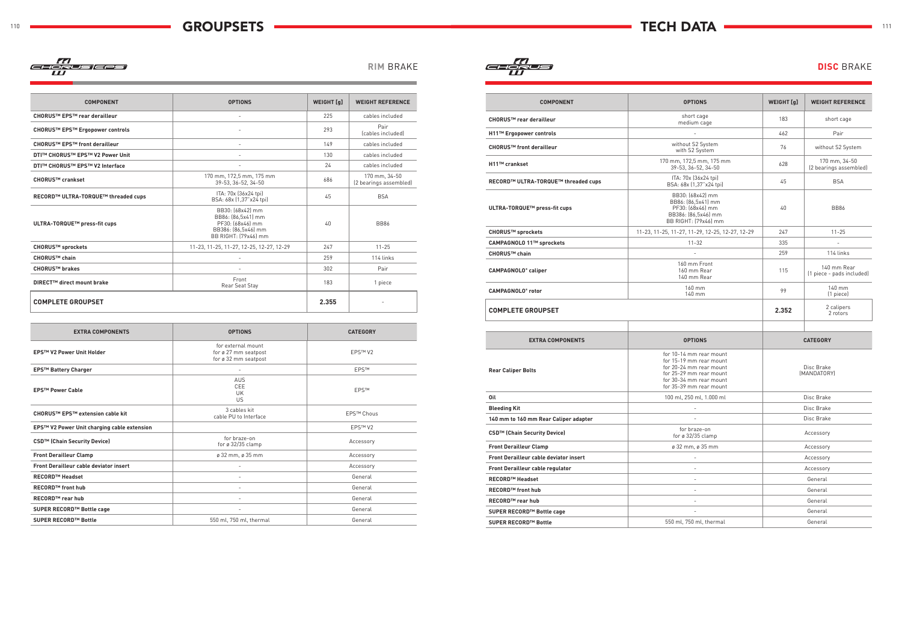### 110 TECH DATA **TECH DATA GROUPSETS TECH DATA** 111 **GROUPSETS**

77)<br>GEORUS (GRS)<br>W

**RIM BRAKE DISC** BRAKE

| <b>COMPONENT</b>                      | <b>OPTIONS</b>                                                                                            | <b>WEIGHT</b> [q] | <b>WEIGHT REFERENCE</b>                 |
|---------------------------------------|-----------------------------------------------------------------------------------------------------------|-------------------|-----------------------------------------|
| CHORUS™ EPS™ rear derailleur          |                                                                                                           | 225               | cables included                         |
| CHORUS™ EPS™ Ergopower controls       | $\blacksquare$                                                                                            | 293               | Pair<br>(cables included)               |
| CHORUS™ EPS™ front derailleur         |                                                                                                           | 149               | cables included                         |
| DTI™ CHORUS™ EPS™ V2 Power Unit       |                                                                                                           | 130               | cables included                         |
| <b>DTI™ CHORUS™ EPS™ V2 Interface</b> |                                                                                                           | 24                | cables included                         |
| CHORUS™ crankset                      | 170 mm, 172,5 mm, 175 mm<br>39-53, 36-52, 34-50                                                           | 686               | 170 mm, 34-50<br>(2 bearings assembled) |
| RECORD™ ULTRA-TORQUE™ threaded cups   | ITA: 70x (36x24 tpi)<br>BSA: 68x (1,37"x24 tpi)                                                           | 45                | <b>BSA</b>                              |
| ULTRA-TORQUE™ press-fit cups          | BB30: (68x42) mm<br>BB86: [86,5x41] mm<br>PF30: (68x46) mm<br>BB386: (86,5x46) mm<br>BB RIGHT: (79x46) mm | 40                | <b>BB86</b>                             |
| CHORUS™ sprockets                     | 11-23, 11-25, 11-27, 12-25, 12-27, 12-29                                                                  | 247               | $11 - 25$                               |
| CHORUS™ chain                         | L.                                                                                                        | 259               | 114 links                               |
| <b>CHORUS™ brakes</b>                 | -                                                                                                         | 302               | Pair                                    |
| DIRECT™ direct mount brake            | Front<br>Rear Seat Stay                                                                                   | 183               | 1 piece                                 |
| <b>COMPLETE GROUPSET</b>              |                                                                                                           | 2.355             |                                         |

| <b>EXTRA COMPONENTS</b>                       | <b>OPTIONS</b>                                                     | <b>CATEGORY</b>     |
|-----------------------------------------------|--------------------------------------------------------------------|---------------------|
| <b>EPS™ V2 Power Unit Holder</b>              | for external mount<br>for ø 27 mm seatpost<br>for ø 32 mm seatpost | EPSTM V2            |
| <b>EPS™ Battery Charger</b>                   |                                                                    | <b>EPSTM</b>        |
| <b>EPS™ Power Cable</b>                       | <b>AUS</b><br>CEE<br>UK<br>US                                      | <b>EPSTM</b>        |
| CHORUS™ EPS™ extension cable kit              | 3 cables kit<br>cable PU to Interface                              | <b>EPS™ Chous</b>   |
| EPS™ V2 Power Unit charging cable extension   |                                                                    | EPS™ V <sub>2</sub> |
| CSD <sup>™</sup> (Chain Security Device)      | for braze-on<br>for $\varnothing$ 32/35 clamp                      | Accessory           |
| <b>Front Derailleur Clamp</b>                 | ø 32 mm, ø 35 mm                                                   | Accessory           |
| <b>Front Derailleur cable deviator insert</b> |                                                                    | Accessory           |
| <b>RECORD™ Headset</b>                        | ٠                                                                  | General             |
| <b>RECORD™ front hub</b>                      |                                                                    | General             |
| <b>RECORD™ rear hub</b>                       |                                                                    | General             |
| SUPER RECORD™ Bottle cage                     |                                                                    | General             |
| <b>SUPER RECORD™ Bottle</b>                   | 550 ml, 750 ml, thermal                                            | General             |

| <b>COMPONENT</b>                       | <b>OPTIONS</b>                                                                                                                                                 | <b>WEIGHT</b> [q] | <b>WEIGHT REFERENCE</b>                  |
|----------------------------------------|----------------------------------------------------------------------------------------------------------------------------------------------------------------|-------------------|------------------------------------------|
| CHORUS™ rear derailleur                | short cage<br>medium cage                                                                                                                                      | 183               | short cage                               |
| H11™ Ergopower controls                | $\overline{a}$                                                                                                                                                 | 462               | Pair                                     |
| <b>CHORUS™ front derailleur</b>        | without S2 System<br>with S2 System                                                                                                                            | 76                | without S2 System                        |
| H11™ crankset                          | 170 mm, 172,5 mm, 175 mm<br>39-53, 36-52, 34-50                                                                                                                | 628               | 170 mm, 34-50<br>(2 bearings assembled)  |
| RECORD™ ULTRA-TORQUE™ threaded cups    | ITA: 70x (36x24 tpi)<br>BSA: 68x (1,37"x24 tpi)                                                                                                                | 45                | <b>BSA</b>                               |
| ULTRA-TORQUE™ press-fit cups           | BB30: (68x42) mm<br>BB86: [86,5x41] mm<br>PF30: (68x46) mm<br>BB386: [86,5x46] mm<br>BB RIGHT: (79x46) mm                                                      | 40                | <b>BB86</b>                              |
| CHORUS™ sprockets                      | 11-23, 11-25, 11-27, 11-29, 12-25, 12-27, 12-29                                                                                                                | 247               | $11 - 25$                                |
| CAMPAGNOLO 11™ sprockets               | $11 - 32$                                                                                                                                                      | 335               | $\overline{\phantom{a}}$                 |
| CHORUS™ chain                          |                                                                                                                                                                | 259               | 114 links                                |
| CAMPAGNOLO <sup>®</sup> caliper        | 160 mm Front<br>160 mm Rear<br>140 mm Rear                                                                                                                     | 115               | 140 mm Rear<br>(1 piece - pads included) |
| <b>CAMPAGNOLO®</b> rotor               | 160 mm<br>140 mm                                                                                                                                               | 99                | 140 mm<br>(1 piece)                      |
| <b>COMPLETE GROUPSET</b>               |                                                                                                                                                                | 2.352             | 2 calipers<br>2 rotors                   |
|                                        |                                                                                                                                                                |                   |                                          |
| <b>EXTRA COMPONENTS</b>                | <b>OPTIONS</b>                                                                                                                                                 |                   | <b>CATEGORY</b>                          |
| <b>Rear Caliper Bolts</b>              | for 10-14 mm rear mount<br>for 15-19 mm rear mount<br>for 20-24 mm rear mount<br>for 25-29 mm rear mount<br>for 30-34 mm rear mount<br>for 35-39 mm rear mount |                   | Disc Brake<br>(MANDATORY)                |
| Oil                                    | 100 ml, 250 ml, 1.000 ml                                                                                                                                       |                   | Disc Brake                               |
| <b>Bleeding Kit</b>                    |                                                                                                                                                                |                   | Disc Brake                               |
| 140 mm to 160 mm Rear Caliper adapter  |                                                                                                                                                                |                   | Disc Brake                               |
| CSD™ (Chain Security Device)           | for braze-on<br>for $\varnothing$ 32/35 clamp                                                                                                                  |                   | Accessory                                |
| <b>Front Derailleur Clamp</b>          | ø 32 mm, ø 35 mm                                                                                                                                               |                   | Accessory                                |
| Front Derailleur cable deviator insert |                                                                                                                                                                |                   | Accessory                                |
| Front Derailleur cable regulator       |                                                                                                                                                                |                   | Accessory                                |
| RECORD™ Headset                        | $\equiv$                                                                                                                                                       |                   | General                                  |
| <b>RECORD™ front hub</b>               | $\overline{\phantom{a}}$                                                                                                                                       |                   | General                                  |
| RECORD™ rear hub                       | $\overline{\phantom{a}}$                                                                                                                                       |                   | General                                  |
| SUPER RECORD™ Bottle cage              |                                                                                                                                                                |                   | General                                  |
| SUPER RECORD™ Bottle                   | 550 ml, 750 ml, thermal                                                                                                                                        |                   | General                                  |

| <b>COMPONENT</b>                       | <b>OPTIONS</b>                                                                                                                                                 | WEIGHT [g] | <b>WEIGHT REFERENCE</b>                  |
|----------------------------------------|----------------------------------------------------------------------------------------------------------------------------------------------------------------|------------|------------------------------------------|
| CHORUS™ rear derailleur                | short cage<br>medium cage                                                                                                                                      | 183        | short cage                               |
| H11™ Ergopower controls                |                                                                                                                                                                | 462        | Pair                                     |
| <b>CHORUS™ front derailleur</b>        | without S2 System<br>with S2 System                                                                                                                            | 76         | without S2 System                        |
| H11™ crankset                          | 170 mm, 172,5 mm, 175 mm<br>39-53, 36-52, 34-50                                                                                                                | 628        | 170 mm, 34-50<br>(2 bearings assembled)  |
| RECORD™ ULTRA-TORQUE™ threaded cups    | ITA: 70x (36x24 tpi)<br>BSA: 68x (1,37"x24 tpi)                                                                                                                | 45         | <b>BSA</b>                               |
| ULTRA-TORQUE™ press-fit cups           | BB30: (68x42) mm<br>BB86: (86,5x41) mm<br>PF30: (68x46) mm<br>BB386: (86,5x46) mm<br>BB RIGHT: [79x46] mm                                                      | 40         | <b>BB86</b>                              |
| CHORUS™ sprockets                      | 11-23, 11-25, 11-27, 11-29, 12-25, 12-27, 12-29                                                                                                                | 247        | $11 - 25$                                |
| CAMPAGNOLO 11™ sprockets               | 11-32                                                                                                                                                          | 335        | $\frac{1}{2}$                            |
| CHORUS <sup>™</sup> chain              |                                                                                                                                                                | 259        | 114 links                                |
| CAMPAGNOLO® caliper                    | 160 mm Front<br>160 mm Rear<br>140 mm Rear                                                                                                                     | 115        | 140 mm Rear<br>(1 piece - pads included) |
| <b>CAMPAGNOLO®</b> rotor               | 160 mm<br>140 mm                                                                                                                                               | 99         | 140 mm<br>(1 piece)                      |
| <b>COMPLETE GROUPSET</b>               |                                                                                                                                                                | 2.352      | 2 calipers<br>2 rotors                   |
|                                        |                                                                                                                                                                |            |                                          |
| <b>EXTRA COMPONENTS</b>                | <b>OPTIONS</b>                                                                                                                                                 |            | <b>CATEGORY</b>                          |
| <b>Rear Caliper Bolts</b>              | for 10-14 mm rear mount<br>for 15-19 mm rear mount<br>for 20-24 mm rear mount<br>for 25-29 mm rear mount<br>for 30-34 mm rear mount<br>for 35-39 mm rear mount |            | Disc Brake<br>(MANDATORY)                |
| Oil                                    | 100 ml, 250 ml, 1.000 ml                                                                                                                                       |            | Disc Brake                               |
| <b>Bleeding Kit</b>                    |                                                                                                                                                                |            | Disc Brake                               |
| 140 mm to 160 mm Rear Caliper adapter  |                                                                                                                                                                |            | Disc Brake                               |
| CSD™ (Chain Security Device)           | for braze-on<br>for ø 32/35 clamp                                                                                                                              |            | Accessory                                |
| <b>Front Derailleur Clamp</b>          | ø 32 mm, ø 35 mm                                                                                                                                               |            | Accessory                                |
| Front Derailleur cable deviator insert | ÷,                                                                                                                                                             |            | Accessory                                |
| Front Derailleur cable regulator       | $\overline{\phantom{m}}$                                                                                                                                       |            | Accessory                                |
| <b>RECORD™ Headset</b>                 | $\overline{\phantom{0}}$                                                                                                                                       |            | General                                  |
| RECORD™ front hub                      | $\overline{\phantom{m}}$                                                                                                                                       |            | General                                  |
| RECORD™ rear hub                       | ÷,                                                                                                                                                             |            | General                                  |
| SUPER RECORD™ Bottle cage              | $\sim$                                                                                                                                                         |            | General                                  |
| SUPER RECORD™ Bottle                   | 550 ml, 750 ml, thermal                                                                                                                                        |            | General                                  |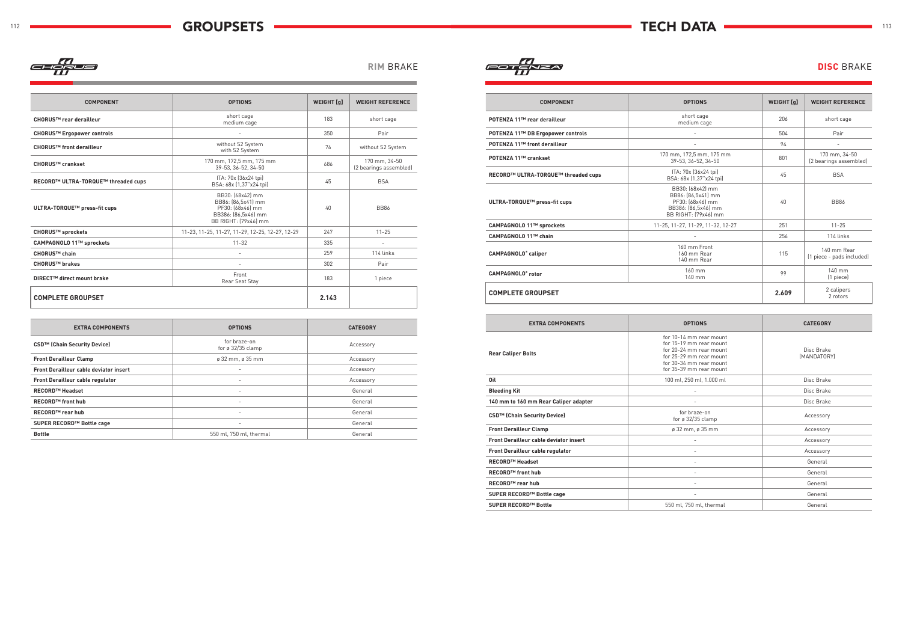

| <b>COMPONENT</b>                    | <b>OPTIONS</b>                                                                                            | <b>WEIGHT</b> [g] | <b>WEIGHT REFERENCE</b>                 |
|-------------------------------------|-----------------------------------------------------------------------------------------------------------|-------------------|-----------------------------------------|
| CHORUS™ rear derailleur             | short cage<br>medium cage                                                                                 | 183               | short cage                              |
| CHORUS™ Ergopower controls          |                                                                                                           | 350               | Pair                                    |
| CHORUS™ front derailleur            | without S2 System<br>with S2 System                                                                       | 76                | without S2 System                       |
| <b>CHORUS™ crankset</b>             | 170 mm, 172,5 mm, 175 mm<br>39-53, 36-52, 34-50                                                           | 686               | 170 mm. 34-50<br>(2 bearings assembled) |
| RECORD™ ULTRA-TORQUE™ threaded cups | ITA: 70x (36x24 tpi)<br>BSA: 68x (1,37"x24 tpi)                                                           | 45                | <b>BSA</b>                              |
| ULTRA-TORQUE™ press-fit cups        | BB30: (68x42) mm<br>BB86: (86,5x41) mm<br>PF30: (68x46) mm<br>BB386: (86,5x46) mm<br>BB RIGHT: (79x46) mm | 40                | <b>BB86</b>                             |
| CHORUS™ sprockets                   | 11-23, 11-25, 11-27, 11-29, 12-25, 12-27, 12-29                                                           | 247               | $11 - 25$                               |
| CAMPAGNOLO 11™ sprockets            | $11 - 32$                                                                                                 | 335               | $\overline{\phantom{a}}$                |
| CHORUS™ chain                       |                                                                                                           | 259               | 114 links                               |
| <b>CHORUS™ brakes</b>               |                                                                                                           | 302               | Pair                                    |
| DIRECT™ direct mount brake          | Front<br>Rear Seat Stay                                                                                   | 183               | 1 piece                                 |
| <b>COMPLETE GROUPSET</b>            |                                                                                                           | 2.143             |                                         |

| <b>EXTRA COMPONENTS</b>                       | <b>OPTIONS</b>                           | <b>CATEGORY</b> |
|-----------------------------------------------|------------------------------------------|-----------------|
| CSD™ (Chain Security Device)                  | for braze-on<br>for $\alpha$ 32/35 clamp | Accessory       |
| <b>Front Derailleur Clamp</b>                 | $\varnothing$ 32 mm, $\varnothing$ 35 mm | Accessory       |
| <b>Front Derailleur cable deviator insert</b> | $\overline{\phantom{0}}$                 | Accessory       |
| Front Derailleur cable regulator              | $\overline{\phantom{a}}$                 | Accessory       |
| <b>RECORD™ Headset</b>                        | $\overline{\phantom{0}}$                 | General         |
| <b>RECORD™ front hub</b>                      | $\overline{\phantom{0}}$                 | General         |
| <b>RECORD™ rear hub</b>                       | $\overline{\phantom{a}}$                 | General         |
| SUPER RECORD™ Bottle cage                     | $\overline{\phantom{0}}$                 | General         |
| <b>Bottle</b>                                 | 550 ml, 750 ml, thermal                  | General         |

**RIM BRAKE DISC** BRAKE **DISC** BRAKE

| <b>COMPONENT</b>                    | <b>OPTIONS</b>                                                                                                  | WEIGHT [q] | <b>WEIGHT REFERENCE</b>                  |  |  |
|-------------------------------------|-----------------------------------------------------------------------------------------------------------------|------------|------------------------------------------|--|--|
| POTENZA 11™ rear derailleur         | short cage<br>medium cage                                                                                       | 206        | short cage                               |  |  |
| POTENZA 11™ DB Ergopower controls   |                                                                                                                 | 504        | Pair                                     |  |  |
| POTENZA 11™ front derailleur        |                                                                                                                 | 94         | $\sim$                                   |  |  |
| POTENZA 11™ crankset                | 170 mm, 172,5 mm, 175 mm<br>39-53, 36-52, 34-50                                                                 | 801        | 170 mm, 34-50<br>(2 bearings assembled)  |  |  |
| RECORD™ ULTRA-TORQUE™ threaded cups | ITA: 70x (36x24 tpi)<br>BSA: 68x (1,37"x24 tpi)                                                                 | 45         | <b>BSA</b>                               |  |  |
| ULTRA-TORQUE™ press-fit cups        | BB30: [68x42] mm<br>BB86: (86,5x41) mm<br>PF30: (68x46) mm<br>40<br>BB386: (86,5x46) mm<br>BB RIGHT: (79x46) mm |            | <b>BB86</b>                              |  |  |
| CAMPAGNOLO 11™ sprockets            | 11-25, 11-27, 11-29, 11-32, 12-27                                                                               | 251        | $11 - 25$                                |  |  |
| CAMPAGNOLO 11™ chain                |                                                                                                                 | 256        | 114 links                                |  |  |
| <b>CAMPAGNOLO®</b> caliper          | 160 mm Front<br>160 mm Rear<br>140 mm Rear                                                                      | 115        | 140 mm Rear<br>(1 piece - pads included) |  |  |
| <b>CAMPAGNOLO®</b> rotor            | 160 mm<br>140 mm                                                                                                | 99         | 140 mm<br>(1 piece)                      |  |  |
| <b>COMPLETE GROUPSET</b>            |                                                                                                                 | 2.609      | 2 calipers<br>2 rotors                   |  |  |

| <b>EXTRA COMPONENTS</b>                       | <b>OPTIONS</b>                                                                                                                                                 | <b>CATEGORY</b>           |  |
|-----------------------------------------------|----------------------------------------------------------------------------------------------------------------------------------------------------------------|---------------------------|--|
| <b>Rear Caliper Bolts</b>                     | for 10-14 mm rear mount<br>for 15-19 mm rear mount<br>for 20-24 mm rear mount<br>for 25-29 mm rear mount<br>for 30-34 mm rear mount<br>for 35-39 mm rear mount | Disc Brake<br>(MANDATORY) |  |
| Oil                                           | 100 ml, 250 ml, 1.000 ml                                                                                                                                       | Disc Brake                |  |
| <b>Bleeding Kit</b>                           |                                                                                                                                                                | Disc Brake                |  |
| 140 mm to 160 mm Rear Caliper adapter         |                                                                                                                                                                | Disc Brake                |  |
| CSD™ (Chain Security Device)                  | for braze-on<br>for $\varnothing$ 32/35 clamp                                                                                                                  | Accessory                 |  |
| <b>Front Derailleur Clamp</b>                 | ø 32 mm, ø 35 mm                                                                                                                                               | Accessory                 |  |
| <b>Front Derailleur cable deviator insert</b> | $\qquad \qquad -$                                                                                                                                              | Accessory                 |  |
| Front Derailleur cable regulator              | $\qquad \qquad -$                                                                                                                                              | Accessory                 |  |
| <b>RECORD™ Headset</b>                        | $\overline{\phantom{a}}$                                                                                                                                       | General                   |  |
| <b>RECORD™ front hub</b>                      | ٠                                                                                                                                                              | General                   |  |
| <b>RECORD™ rear hub</b>                       | $\qquad \qquad -$                                                                                                                                              | General                   |  |
| SUPER RECORD™ Bottle cage                     | ٠                                                                                                                                                              | General                   |  |
| SUPER RECORD™ Bottle                          | 550 ml, 750 ml, thermal                                                                                                                                        | General                   |  |
|                                               |                                                                                                                                                                |                           |  |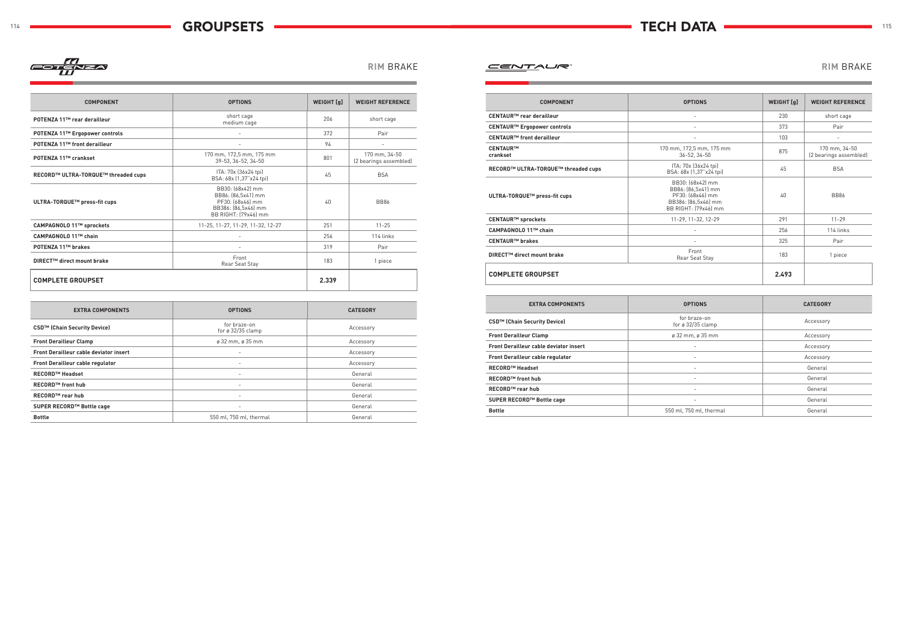## **RIM** Brake **RIM** Brake



| <b>M BRAKE</b> |  |  |  |
|----------------|--|--|--|
|----------------|--|--|--|

### **COMPONENT OPTIONS WEIGHT [g] WEIGHT REFERENCE POTENZA 11™ rear derailleur** short cage short cage short cage short cage<br>medium cage and the cage of the cage of the cage of the short cage **POTENZA 11™ Ergopower controls** - 372 Pair **POTENZA 11™ front derailleur** and the set of the set of the set of the set of the set of the set of the set of the set of the set of the set of the set of the set of the set of the set of the set of the set of the set of **POTENZA 11™ crankset** 170 mm, 172,5 mm, 175 mm 1 mm, 172,5 mm, 175 mm<br>39-53, 36-52, 34-50 801 2 bearings assemble 170 mm, 34-50 (2 bearings assembled) **RECORD™ ULTRA-TORQUE™ threaded cups**<br>
RECORD™ ULTRA-TORQUE™ threaded cups<br>  $P(A, A) = \frac{1}{27} \left( \frac{36 \times 24 \text{ kg}}{27 \times 24 \text{ kg}} \right)$ BSA: 68x (1,37"x24 tpi) <sup>45</sup> BSA **ULTRA-TORQUE™ press-fit cups** BB30: (68x42) mm BB86: (86,5x41) mm PF30: (68x46) mm BB386: (86,5x46) mm BB RIGHT: (79x46) mm 40 BB86 **CAMPAGNOLO 11™ sprockets** 11-25, 11-27, 11-27, 11-29, 11-27, 12-27 251 11-25 **CAMPAGNOLO 11™ chain** and 256 114 links **POTENZA 11™ brakes** - 319 Pair **DIRECT™ direct mount brake** Front Front Front 183 1 piece<br>Rear Seat Stay 183 1 piece **COMPLETE GROUPSET 2.339**

| <b>EXTRA COMPONENTS</b>                       | <b>OPTIONS</b>                           | <b>CATEGORY</b> |
|-----------------------------------------------|------------------------------------------|-----------------|
| CSD™ (Chain Security Device)                  | for braze-on<br>for ø $32/35$ clamp      | Accessory       |
| <b>Front Derailleur Clamp</b>                 | $\varnothing$ 32 mm, $\varnothing$ 35 mm | Accessory       |
| <b>Front Derailleur cable deviator insert</b> | $\overline{\phantom{a}}$                 | Accessory       |
| <b>Front Derailleur cable regulator</b>       | $\overline{\phantom{a}}$                 | Accessory       |
| <b>RECORD™ Headset</b>                        | $\overline{\phantom{a}}$                 | General         |
| <b>RECORD™</b> front hub                      | $\overline{\phantom{a}}$                 | General         |
| <b>RECORD™ rear hub</b>                       | $\overline{\phantom{a}}$                 | General         |
| SUPER RECORD™ Bottle cage                     | $\overline{\phantom{a}}$                 | General         |
| <b>Bottle</b>                                 | 550 ml, 750 ml, thermal                  | General         |

| <b>COMPONENT</b>                        | <b>OPTIONS</b>                                                                                            | <b>WEIGHT</b> [q] | <b>WEIGHT REFERENCE</b>                 |
|-----------------------------------------|-----------------------------------------------------------------------------------------------------------|-------------------|-----------------------------------------|
| CENTAUR <sup>™</sup> rear derailleur    | $\overline{\phantom{a}}$                                                                                  | 230               | short cage                              |
| CENTAUR <sup>™</sup> Ergopower controls |                                                                                                           | 373               | Pair                                    |
| CENTAUR™ front derailleur               |                                                                                                           | 103               | $\overline{a}$                          |
| <b>CENTAUR™</b><br>crankset             | 170 mm, 172,5 mm, 175 mm<br>$36 - 52.34 - 50$                                                             | 875               | 170 mm, 34-50<br>(2 bearings assembled) |
| RECORD™ ULTRA-TORQUE™ threaded cups     | ITA: 70x (36x24 tpi)<br>BSA: 68x (1,37"x24 tpi)                                                           | 45                | <b>BSA</b>                              |
| ULTRA-TORQUE™ press-fit cups            | BB30: (68x42) mm<br>BB86: [86,5x41] mm<br>PF30: (68x46) mm<br>BB386: [86,5x46] mm<br>BB RIGHT: (79x46) mm | 40                | <b>BB86</b>                             |
| CENTAUR™ sprockets                      | 11-29, 11-32, 12-29                                                                                       | 291               | $11 - 29$                               |
| CAMPAGNOLO 11™ chain                    |                                                                                                           | 256               | 114 links                               |
| <b>CENTAUR™ brakes</b>                  |                                                                                                           | 325               | Pair                                    |
| DIRECT™ direct mount brake              | Front<br>Rear Seat Stay                                                                                   | 183               | 1 piece                                 |
| <b>COMPLETE GROUPSET</b>                |                                                                                                           | 2.493             |                                         |

| <b>EXTRA COMPONENTS</b>                       | <b>OPTIONS</b>                                | <b>CATEGORY</b> |
|-----------------------------------------------|-----------------------------------------------|-----------------|
| CSD <sup>™</sup> (Chain Security Device)      | for braze-on<br>for $\varnothing$ 32/35 clamp | Accessory       |
| <b>Front Derailleur Clamp</b>                 | $\varnothing$ 32 mm, $\varnothing$ 35 mm      | Accessory       |
| <b>Front Derailleur cable deviator insert</b> | $\overline{\phantom{a}}$                      | Accessory       |
| Front Derailleur cable regulator              |                                               | Accessory       |
| <b>RECORD™ Headset</b>                        | ٠                                             | General         |
| <b>RECORD™</b> front hub                      | $\overline{\phantom{a}}$                      | General         |
| <b>RECORD™</b> rear hub                       | ٠                                             | General         |
| SUPER RECORD™ Bottle cage                     | ٠                                             | General         |
| <b>Bottle</b>                                 | 550 ml, 750 ml, thermal                       | General         |